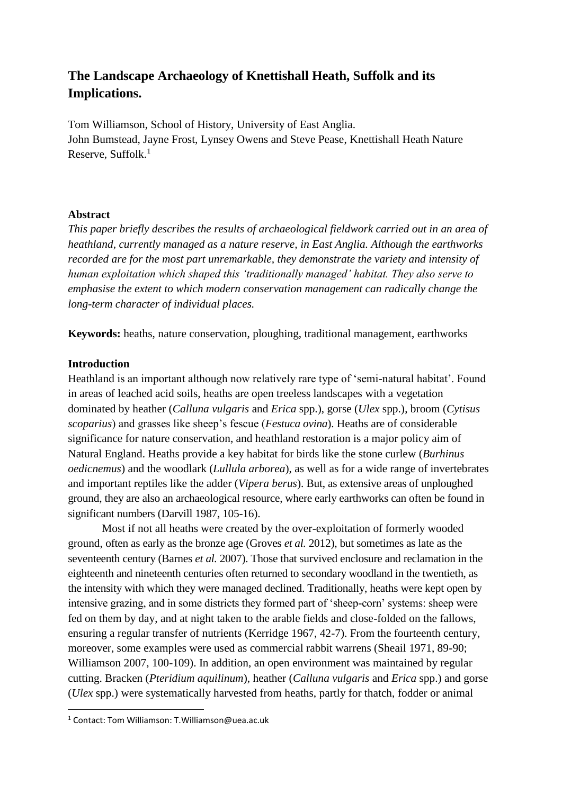# **The Landscape Archaeology of Knettishall Heath, Suffolk and its Implications.**

Tom Williamson, School of History, University of East Anglia. John Bumstead, Jayne Frost, Lynsey Owens and Steve Pease, Knettishall Heath Nature Reserve, Suffolk. 1

# **Abstract**

*This paper briefly describes the results of archaeological fieldwork carried out in an area of heathland, currently managed as a nature reserve, in East Anglia. Although the earthworks recorded are for the most part unremarkable, they demonstrate the variety and intensity of human exploitation which shaped this 'traditionally managed' habitat. They also serve to emphasise the extent to which modern conservation management can radically change the long-term character of individual places.*

**Keywords:** heaths, nature conservation, ploughing, traditional management, earthworks

# **Introduction**

**.** 

Heathland is an important although now relatively rare type of 'semi-natural habitat'. Found in areas of leached acid soils, heaths are open treeless landscapes with a vegetation dominated by heather (*Calluna vulgaris* and *Erica* spp.), gorse (*Ulex* spp.), broom (*Cytisus scoparius*) and grasses like sheep's fescue (*Festuca ovina*). Heaths are of considerable significance for nature conservation, and heathland restoration is a major policy aim of Natural England. Heaths provide a key habitat for birds like the stone curlew (*Burhinus oedicnemus*) and the woodlark (*Lullula arborea*), as well as for a wide range of invertebrates and important reptiles like the adder (*Vipera berus*). But, as extensive areas of unploughed ground, they are also an archaeological resource, where early earthworks can often be found in significant numbers (Darvill 1987, 105-16).

Most if not all heaths were created by the over-exploitation of formerly wooded ground, often as early as the bronze age (Groves *et al.* 2012), but sometimes as late as the seventeenth century (Barnes *et al.* 2007). Those that survived enclosure and reclamation in the eighteenth and nineteenth centuries often returned to secondary woodland in the twentieth, as the intensity with which they were managed declined. Traditionally, heaths were kept open by intensive grazing, and in some districts they formed part of 'sheep-corn' systems: sheep were fed on them by day, and at night taken to the arable fields and close-folded on the fallows, ensuring a regular transfer of nutrients (Kerridge 1967, 42-7). From the fourteenth century, moreover, some examples were used as commercial rabbit warrens (Sheail 1971, 89-90; Williamson 2007, 100-109). In addition, an open environment was maintained by regular cutting. Bracken (*Pteridium aquilinum*), heather (*Calluna vulgaris* and *Erica* spp.) and gorse (*Ulex* spp.) were systematically harvested from heaths, partly for thatch, fodder or animal

<sup>1</sup> Contact: Tom Williamson: T.Williamson@uea.ac.uk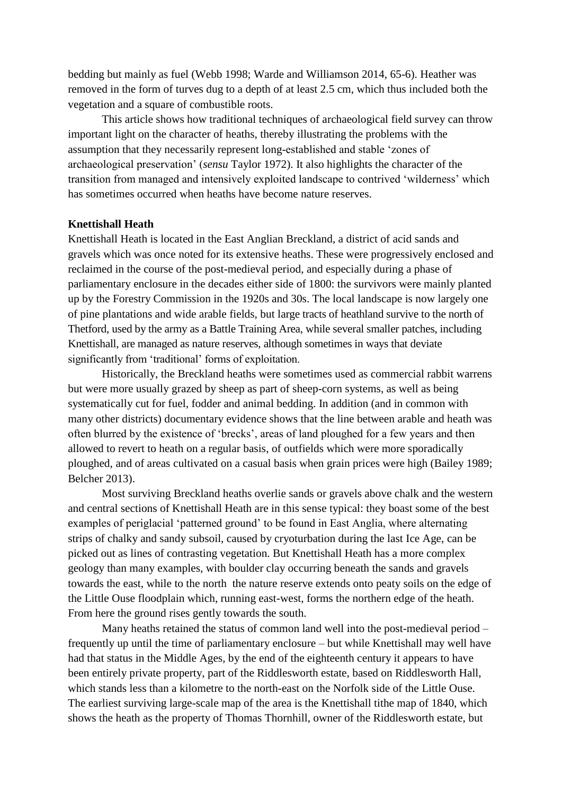bedding but mainly as fuel (Webb 1998; Warde and Williamson 2014, 65-6). Heather was removed in the form of turves dug to a depth of at least 2.5 cm, which thus included both the vegetation and a square of combustible roots.

This article shows how traditional techniques of archaeological field survey can throw important light on the character of heaths, thereby illustrating the problems with the assumption that they necessarily represent long-established and stable 'zones of archaeological preservation' (*sensu* Taylor 1972). It also highlights the character of the transition from managed and intensively exploited landscape to contrived 'wilderness' which has sometimes occurred when heaths have become nature reserves.

# **Knettishall Heath**

Knettishall Heath is located in the East Anglian Breckland, a district of acid sands and gravels which was once noted for its extensive heaths. These were progressively enclosed and reclaimed in the course of the post-medieval period, and especially during a phase of parliamentary enclosure in the decades either side of 1800: the survivors were mainly planted up by the Forestry Commission in the 1920s and 30s. The local landscape is now largely one of pine plantations and wide arable fields, but large tracts of heathland survive to the north of Thetford, used by the army as a Battle Training Area, while several smaller patches, including Knettishall, are managed as nature reserves, although sometimes in ways that deviate significantly from 'traditional' forms of exploitation.

Historically, the Breckland heaths were sometimes used as commercial rabbit warrens but were more usually grazed by sheep as part of sheep-corn systems, as well as being systematically cut for fuel, fodder and animal bedding. In addition (and in common with many other districts) documentary evidence shows that the line between arable and heath was often blurred by the existence of 'brecks', areas of land ploughed for a few years and then allowed to revert to heath on a regular basis, of outfields which were more sporadically ploughed, and of areas cultivated on a casual basis when grain prices were high (Bailey 1989; Belcher 2013).

Most surviving Breckland heaths overlie sands or gravels above chalk and the western and central sections of Knettishall Heath are in this sense typical: they boast some of the best examples of periglacial 'patterned ground' to be found in East Anglia, where alternating strips of chalky and sandy subsoil, caused by cryoturbation during the last Ice Age, can be picked out as lines of contrasting vegetation. But Knettishall Heath has a more complex geology than many examples, with boulder clay occurring beneath the sands and gravels towards the east, while to the north the nature reserve extends onto peaty soils on the edge of the Little Ouse floodplain which, running east-west, forms the northern edge of the heath. From here the ground rises gently towards the south.

Many heaths retained the status of common land well into the post-medieval period – frequently up until the time of parliamentary enclosure – but while Knettishall may well have had that status in the Middle Ages, by the end of the eighteenth century it appears to have been entirely private property, part of the Riddlesworth estate, based on Riddlesworth Hall, which stands less than a kilometre to the north-east on the Norfolk side of the Little Ouse. The earliest surviving large-scale map of the area is the Knettishall tithe map of 1840, which shows the heath as the property of Thomas Thornhill, owner of the Riddlesworth estate, but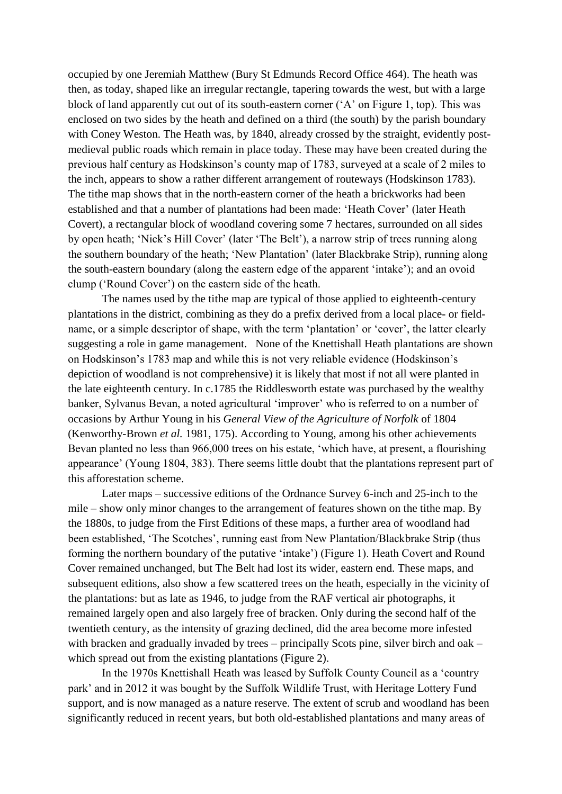occupied by one Jeremiah Matthew (Bury St Edmunds Record Office 464). The heath was then, as today, shaped like an irregular rectangle, tapering towards the west, but with a large block of land apparently cut out of its south-eastern corner ('A' on Figure 1, top). This was enclosed on two sides by the heath and defined on a third (the south) by the parish boundary with Coney Weston. The Heath was, by 1840, already crossed by the straight, evidently postmedieval public roads which remain in place today. These may have been created during the previous half century as Hodskinson's county map of 1783, surveyed at a scale of 2 miles to the inch, appears to show a rather different arrangement of routeways (Hodskinson 1783). The tithe map shows that in the north-eastern corner of the heath a brickworks had been established and that a number of plantations had been made: 'Heath Cover' (later Heath Covert), a rectangular block of woodland covering some 7 hectares, surrounded on all sides by open heath; 'Nick's Hill Cover' (later 'The Belt'), a narrow strip of trees running along the southern boundary of the heath; 'New Plantation' (later Blackbrake Strip), running along the south-eastern boundary (along the eastern edge of the apparent 'intake'); and an ovoid clump ('Round Cover') on the eastern side of the heath.

The names used by the tithe map are typical of those applied to eighteenth-century plantations in the district, combining as they do a prefix derived from a local place- or fieldname, or a simple descriptor of shape, with the term 'plantation' or 'cover', the latter clearly suggesting a role in game management. None of the Knettishall Heath plantations are shown on Hodskinson's 1783 map and while this is not very reliable evidence (Hodskinson's depiction of woodland is not comprehensive) it is likely that most if not all were planted in the late eighteenth century. In c.1785 the Riddlesworth estate was purchased by the wealthy banker, Sylvanus Bevan, a noted agricultural 'improver' who is referred to on a number of occasions by Arthur Young in his *General View of the Agriculture of Norfolk* of 1804 (Kenworthy-Brown *et al.* 1981, 175). According to Young, among his other achievements Bevan planted no less than 966,000 trees on his estate, 'which have, at present, a flourishing appearance' (Young 1804, 383). There seems little doubt that the plantations represent part of this afforestation scheme.

Later maps – successive editions of the Ordnance Survey 6-inch and 25-inch to the mile – show only minor changes to the arrangement of features shown on the tithe map. By the 1880s, to judge from the First Editions of these maps, a further area of woodland had been established, 'The Scotches', running east from New Plantation/Blackbrake Strip (thus forming the northern boundary of the putative 'intake') (Figure 1). Heath Covert and Round Cover remained unchanged, but The Belt had lost its wider, eastern end. These maps, and subsequent editions, also show a few scattered trees on the heath, especially in the vicinity of the plantations: but as late as 1946, to judge from the RAF vertical air photographs, it remained largely open and also largely free of bracken. Only during the second half of the twentieth century, as the intensity of grazing declined, did the area become more infested with bracken and gradually invaded by trees – principally Scots pine, silver birch and oak – which spread out from the existing plantations (Figure 2).

In the 1970s Knettishall Heath was leased by Suffolk County Council as a 'country park' and in 2012 it was bought by the Suffolk Wildlife Trust, with Heritage Lottery Fund support, and is now managed as a nature reserve. The extent of scrub and woodland has been significantly reduced in recent years, but both old-established plantations and many areas of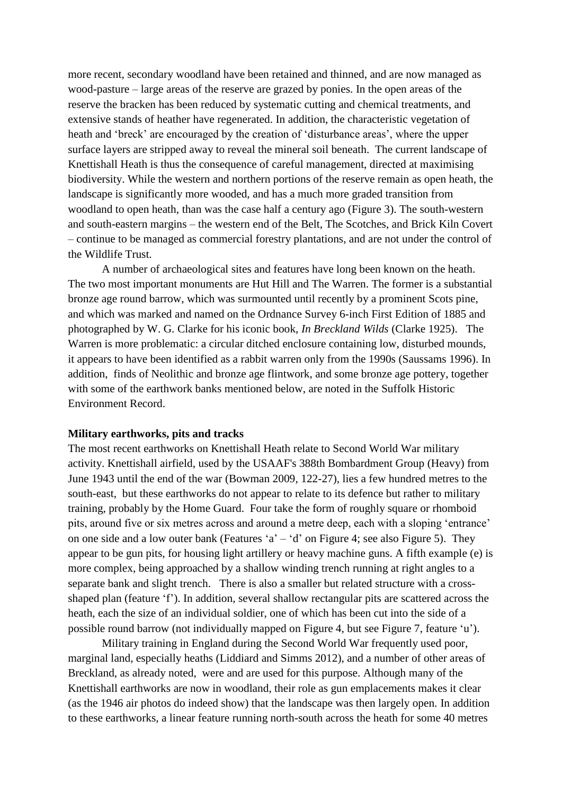more recent, secondary woodland have been retained and thinned, and are now managed as wood-pasture – large areas of the reserve are grazed by ponies. In the open areas of the reserve the bracken has been reduced by systematic cutting and chemical treatments, and extensive stands of heather have regenerated. In addition, the characteristic vegetation of heath and 'breck' are encouraged by the creation of 'disturbance areas', where the upper surface layers are stripped away to reveal the mineral soil beneath. The current landscape of Knettishall Heath is thus the consequence of careful management, directed at maximising biodiversity. While the western and northern portions of the reserve remain as open heath, the landscape is significantly more wooded, and has a much more graded transition from woodland to open heath, than was the case half a century ago (Figure 3). The south-western and south-eastern margins – the western end of the Belt, The Scotches, and Brick Kiln Covert – continue to be managed as commercial forestry plantations, and are not under the control of the Wildlife Trust.

A number of archaeological sites and features have long been known on the heath. The two most important monuments are Hut Hill and The Warren. The former is a substantial bronze age round barrow, which was surmounted until recently by a prominent Scots pine, and which was marked and named on the Ordnance Survey 6-inch First Edition of 1885 and photographed by W. G. Clarke for his iconic book, *In Breckland Wilds* (Clarke 1925). The Warren is more problematic: a circular ditched enclosure containing low, disturbed mounds, it appears to have been identified as a rabbit warren only from the 1990s (Saussams 1996). In addition, finds of Neolithic and bronze age flintwork, and some bronze age pottery, together with some of the earthwork banks mentioned below, are noted in the Suffolk Historic Environment Record.

## **Military earthworks, pits and tracks**

The most recent earthworks on Knettishall Heath relate to Second World War military activity. Knettishall airfield, used by the USAAF's 388th Bombardment Group (Heavy) from June 1943 until the end of the war (Bowman 2009, 122-27), lies a few hundred metres to the south-east, but these earthworks do not appear to relate to its defence but rather to military training, probably by the Home Guard. Four take the form of roughly square or rhomboid pits, around five or six metres across and around a metre deep, each with a sloping 'entrance' on one side and a low outer bank (Features 'a' – 'd' on Figure 4; see also Figure 5). They appear to be gun pits, for housing light artillery or heavy machine guns. A fifth example (e) is more complex, being approached by a shallow winding trench running at right angles to a separate bank and slight trench. There is also a smaller but related structure with a crossshaped plan (feature 'f'). In addition, several shallow rectangular pits are scattered across the heath, each the size of an individual soldier, one of which has been cut into the side of a possible round barrow (not individually mapped on Figure 4, but see Figure 7, feature 'u').

Military training in England during the Second World War frequently used poor, marginal land, especially heaths (Liddiard and Simms 2012), and a number of other areas of Breckland, as already noted, were and are used for this purpose. Although many of the Knettishall earthworks are now in woodland, their role as gun emplacements makes it clear (as the 1946 air photos do indeed show) that the landscape was then largely open. In addition to these earthworks, a linear feature running north-south across the heath for some 40 metres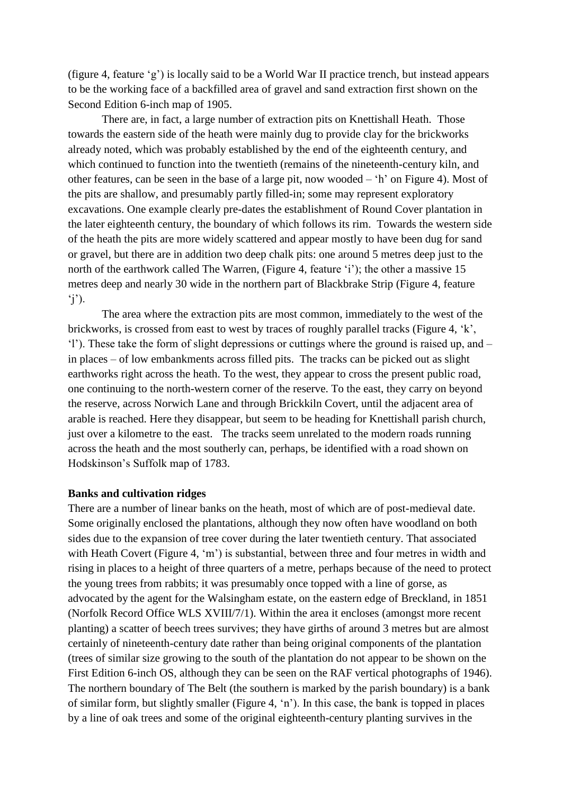(figure 4, feature 'g') is locally said to be a World War II practice trench, but instead appears to be the working face of a backfilled area of gravel and sand extraction first shown on the Second Edition 6-inch map of 1905.

There are, in fact, a large number of extraction pits on Knettishall Heath. Those towards the eastern side of the heath were mainly dug to provide clay for the brickworks already noted, which was probably established by the end of the eighteenth century, and which continued to function into the twentieth (remains of the nineteenth-century kiln, and other features, can be seen in the base of a large pit, now wooded – 'h' on Figure 4). Most of the pits are shallow, and presumably partly filled-in; some may represent exploratory excavations. One example clearly pre-dates the establishment of Round Cover plantation in the later eighteenth century, the boundary of which follows its rim. Towards the western side of the heath the pits are more widely scattered and appear mostly to have been dug for sand or gravel, but there are in addition two deep chalk pits: one around 5 metres deep just to the north of the earthwork called The Warren, (Figure 4, feature 'i'); the other a massive 15 metres deep and nearly 30 wide in the northern part of Blackbrake Strip (Figure 4, feature 'j').

The area where the extraction pits are most common, immediately to the west of the brickworks, is crossed from east to west by traces of roughly parallel tracks (Figure 4, 'k', 'l'). These take the form of slight depressions or cuttings where the ground is raised up, and – in places – of low embankments across filled pits. The tracks can be picked out as slight earthworks right across the heath. To the west, they appear to cross the present public road, one continuing to the north-western corner of the reserve. To the east, they carry on beyond the reserve, across Norwich Lane and through Brickkiln Covert, until the adjacent area of arable is reached. Here they disappear, but seem to be heading for Knettishall parish church, just over a kilometre to the east. The tracks seem unrelated to the modern roads running across the heath and the most southerly can, perhaps, be identified with a road shown on Hodskinson's Suffolk map of 1783.

#### **Banks and cultivation ridges**

There are a number of linear banks on the heath, most of which are of post-medieval date. Some originally enclosed the plantations, although they now often have woodland on both sides due to the expansion of tree cover during the later twentieth century. That associated with Heath Covert (Figure 4, 'm') is substantial, between three and four metres in width and rising in places to a height of three quarters of a metre, perhaps because of the need to protect the young trees from rabbits; it was presumably once topped with a line of gorse, as advocated by the agent for the Walsingham estate, on the eastern edge of Breckland, in 1851 (Norfolk Record Office WLS XVIII/7/1). Within the area it encloses (amongst more recent planting) a scatter of beech trees survives; they have girths of around 3 metres but are almost certainly of nineteenth-century date rather than being original components of the plantation (trees of similar size growing to the south of the plantation do not appear to be shown on the First Edition 6-inch OS, although they can be seen on the RAF vertical photographs of 1946). The northern boundary of The Belt (the southern is marked by the parish boundary) is a bank of similar form, but slightly smaller (Figure 4, 'n'). In this case, the bank is topped in places by a line of oak trees and some of the original eighteenth-century planting survives in the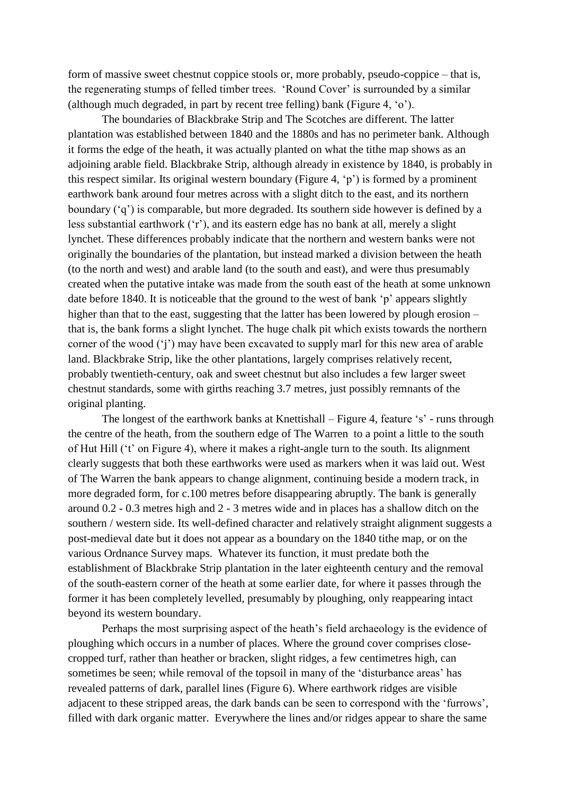form of massive sweet chestnut coppice stools or, more probably, pseudo-coppice – that is, the regenerating stumps of felled timber trees. 'Round Cover' is surrounded by a similar (although much degraded, in part by recent tree felling) bank (Figure 4, 'o').

The boundaries of Blackbrake Strip and The Scotches are different. The latter plantation was established between 1840 and the 1880s and has no perimeter bank. Although it forms the edge of the heath, it was actually planted on what the tithe map shows as an adjoining arable field. Blackbrake Strip, although already in existence by 1840, is probably in this respect similar. Its original western boundary (Figure 4, 'p') is formed by a prominent earthwork bank around four metres across with a slight ditch to the east, and its northern boundary ('q') is comparable, but more degraded. Its southern side however is defined by a less substantial earthwork ('r'), and its eastern edge has no bank at all, merely a slight lynchet. These differences probably indicate that the northern and western banks were not originally the boundaries of the plantation, but instead marked a division between the heath (to the north and west) and arable land (to the south and east), and were thus presumably created when the putative intake was made from the south east of the heath at some unknown date before 1840. It is noticeable that the ground to the west of bank 'p' appears slightly higher than that to the east, suggesting that the latter has been lowered by plough erosion – that is, the bank forms a slight lynchet. The huge chalk pit which exists towards the northern corner of the wood ('j') may have been excavated to supply marl for this new area of arable land. Blackbrake Strip, like the other plantations, largely comprises relatively recent, probably twentieth-century, oak and sweet chestnut but also includes a few larger sweet chestnut standards, some with girths reaching 3.7 metres, just possibly remnants of the original planting.

The longest of the earthwork banks at Knettishall – Figure 4, feature 's' - runs through the centre of the heath, from the southern edge of The Warren to a point a little to the south of Hut Hill ('t' on Figure 4), where it makes a right-angle turn to the south. Its alignment clearly suggests that both these earthworks were used as markers when it was laid out. West of The Warren the bank appears to change alignment, continuing beside a modern track, in more degraded form, for c.100 metres before disappearing abruptly. The bank is generally around 0.2 - 0.3 metres high and 2 - 3 metres wide and in places has a shallow ditch on the southern / western side. Its well-defined character and relatively straight alignment suggests a post-medieval date but it does not appear as a boundary on the 1840 tithe map, or on the various Ordnance Survey maps. Whatever its function, it must predate both the establishment of Blackbrake Strip plantation in the later eighteenth century and the removal of the south-eastern corner of the heath at some earlier date, for where it passes through the former it has been completely levelled, presumably by ploughing, only reappearing intact beyond its western boundary.

Perhaps the most surprising aspect of the heath's field archaeology is the evidence of ploughing which occurs in a number of places. Where the ground cover comprises closecropped turf, rather than heather or bracken, slight ridges, a few centimetres high, can sometimes be seen; while removal of the topsoil in many of the 'disturbance areas' has revealed patterns of dark, parallel lines (Figure 6). Where earthwork ridges are visible adjacent to these stripped areas, the dark bands can be seen to correspond with the 'furrows', filled with dark organic matter. Everywhere the lines and/or ridges appear to share the same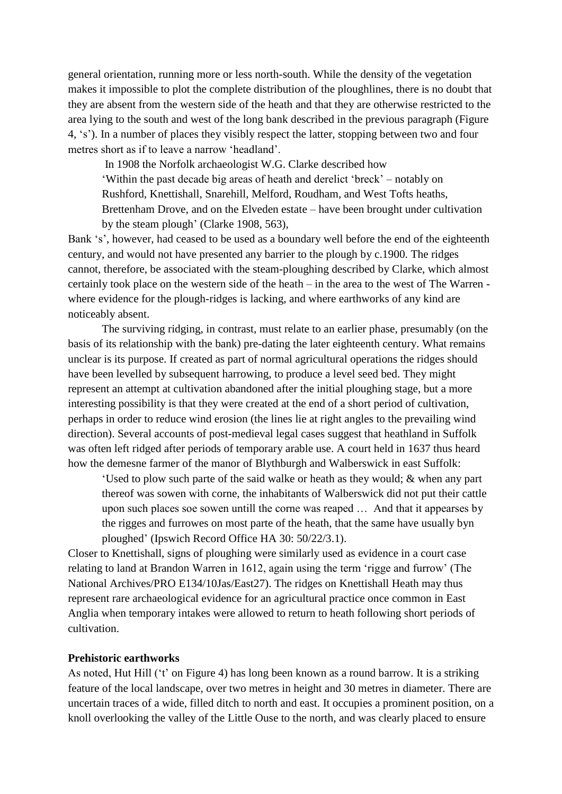general orientation, running more or less north-south. While the density of the vegetation makes it impossible to plot the complete distribution of the ploughlines, there is no doubt that they are absent from the western side of the heath and that they are otherwise restricted to the area lying to the south and west of the long bank described in the previous paragraph (Figure 4, 's'). In a number of places they visibly respect the latter, stopping between two and four metres short as if to leave a narrow 'headland'.

In 1908 the Norfolk archaeologist W.G. Clarke described how

'Within the past decade big areas of heath and derelict 'breck' – notably on Rushford, Knettishall, Snarehill, Melford, Roudham, and West Tofts heaths, Brettenham Drove, and on the Elveden estate – have been brought under cultivation by the steam plough' (Clarke 1908, 563),

Bank 's', however, had ceased to be used as a boundary well before the end of the eighteenth century, and would not have presented any barrier to the plough by c.1900. The ridges cannot, therefore, be associated with the steam-ploughing described by Clarke, which almost certainly took place on the western side of the heath – in the area to the west of The Warren where evidence for the plough-ridges is lacking, and where earthworks of any kind are noticeably absent.

The surviving ridging, in contrast, must relate to an earlier phase, presumably (on the basis of its relationship with the bank) pre-dating the later eighteenth century. What remains unclear is its purpose. If created as part of normal agricultural operations the ridges should have been levelled by subsequent harrowing, to produce a level seed bed. They might represent an attempt at cultivation abandoned after the initial ploughing stage, but a more interesting possibility is that they were created at the end of a short period of cultivation, perhaps in order to reduce wind erosion (the lines lie at right angles to the prevailing wind direction). Several accounts of post-medieval legal cases suggest that heathland in Suffolk was often left ridged after periods of temporary arable use. A court held in 1637 thus heard how the demesne farmer of the manor of Blythburgh and Walberswick in east Suffolk:

'Used to plow such parte of the said walke or heath as they would; & when any part thereof was sowen with corne, the inhabitants of Walberswick did not put their cattle upon such places soe sowen untill the corne was reaped … And that it appearses by the rigges and furrowes on most parte of the heath, that the same have usually byn ploughed' (Ipswich Record Office HA 30: 50/22/3.1).

Closer to Knettishall, signs of ploughing were similarly used as evidence in a court case relating to land at Brandon Warren in 1612, again using the term 'rigge and furrow' (The National Archives/PRO E134/10Jas/East27). The ridges on Knettishall Heath may thus represent rare archaeological evidence for an agricultural practice once common in East Anglia when temporary intakes were allowed to return to heath following short periods of cultivation.

### **Prehistoric earthworks**

As noted, Hut Hill ('t' on Figure 4) has long been known as a round barrow. It is a striking feature of the local landscape, over two metres in height and 30 metres in diameter. There are uncertain traces of a wide, filled ditch to north and east. It occupies a prominent position, on a knoll overlooking the valley of the Little Ouse to the north, and was clearly placed to ensure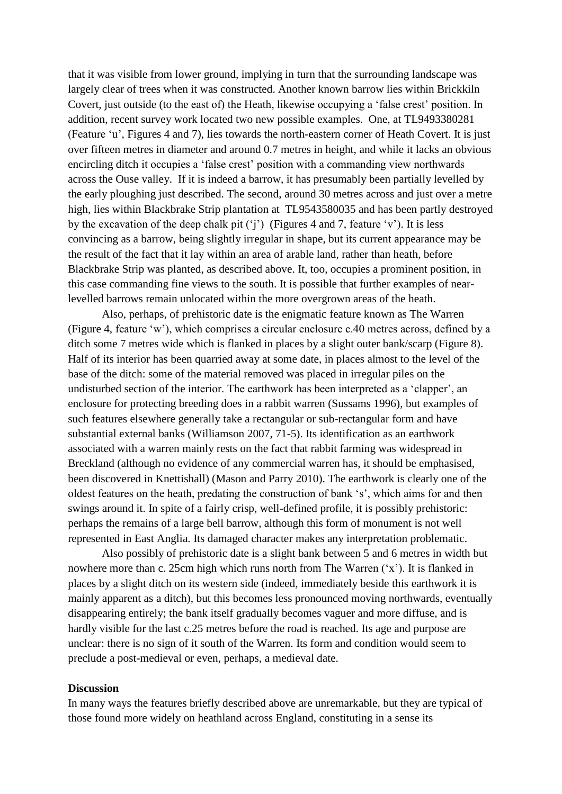that it was visible from lower ground, implying in turn that the surrounding landscape was largely clear of trees when it was constructed. Another known barrow lies within Brickkiln Covert, just outside (to the east of) the Heath, likewise occupying a 'false crest' position. In addition, recent survey work located two new possible examples. One, at [TL9493380281](https://houseprices.io/lab/lidar/map?ref=TL9493380281) (Feature 'u', Figures 4 and 7), lies towards the north-eastern corner of Heath Covert. It is just over fifteen metres in diameter and around 0.7 metres in height, and while it lacks an obvious encircling ditch it occupies a 'false crest' position with a commanding view northwards across the Ouse valley. If it is indeed a barrow, it has presumably been partially levelled by the early ploughing just described. The second, around 30 metres across and just over a metre high, lies within Blackbrake Strip plantation at [TL9543580035](https://houseprices.io/lab/lidar/map?ref=TL9543580035) and has been partly destroyed by the excavation of the deep chalk pit ('j') (Figures 4 and 7, feature 'v'). It is less convincing as a barrow, being slightly irregular in shape, but its current appearance may be the result of the fact that it lay within an area of arable land, rather than heath, before Blackbrake Strip was planted, as described above. It, too, occupies a prominent position, in this case commanding fine views to the south. It is possible that further examples of nearlevelled barrows remain unlocated within the more overgrown areas of the heath.

Also, perhaps, of prehistoric date is the enigmatic feature known as The Warren (Figure 4, feature 'w'), which comprises a circular enclosure c.40 metres across, defined by a ditch some 7 metres wide which is flanked in places by a slight outer bank/scarp (Figure 8). Half of its interior has been quarried away at some date, in places almost to the level of the base of the ditch: some of the material removed was placed in irregular piles on the undisturbed section of the interior. The earthwork has been interpreted as a 'clapper', an enclosure for protecting breeding does in a rabbit warren (Sussams 1996), but examples of such features elsewhere generally take a rectangular or sub-rectangular form and have substantial external banks (Williamson 2007, 71-5). Its identification as an earthwork associated with a warren mainly rests on the fact that rabbit farming was widespread in Breckland (although no evidence of any commercial warren has, it should be emphasised, been discovered in Knettishall) (Mason and Parry 2010). The earthwork is clearly one of the oldest features on the heath, predating the construction of bank 's', which aims for and then swings around it. In spite of a fairly crisp, well-defined profile, it is possibly prehistoric: perhaps the remains of a large bell barrow, although this form of monument is not well represented in East Anglia. Its damaged character makes any interpretation problematic.

Also possibly of prehistoric date is a slight bank between 5 and 6 metres in width but nowhere more than c. 25cm high which runs north from The Warren ('x'). It is flanked in places by a slight ditch on its western side (indeed, immediately beside this earthwork it is mainly apparent as a ditch), but this becomes less pronounced moving northwards, eventually disappearing entirely; the bank itself gradually becomes vaguer and more diffuse, and is hardly visible for the last c.25 metres before the road is reached. Its age and purpose are unclear: there is no sign of it south of the Warren. Its form and condition would seem to preclude a post-medieval or even, perhaps, a medieval date.

#### **Discussion**

In many ways the features briefly described above are unremarkable, but they are typical of those found more widely on heathland across England, constituting in a sense its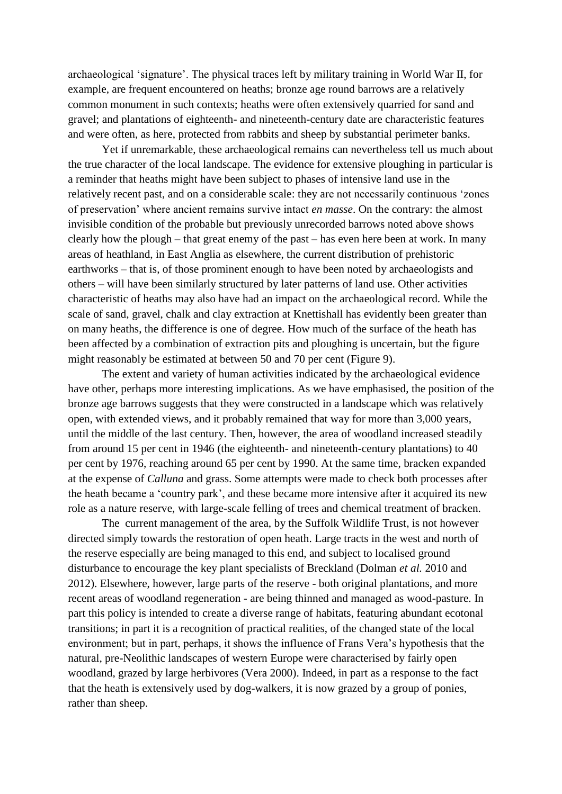archaeological 'signature'. The physical traces left by military training in World War II, for example, are frequent encountered on heaths; bronze age round barrows are a relatively common monument in such contexts; heaths were often extensively quarried for sand and gravel; and plantations of eighteenth- and nineteenth-century date are characteristic features and were often, as here, protected from rabbits and sheep by substantial perimeter banks.

Yet if unremarkable, these archaeological remains can nevertheless tell us much about the true character of the local landscape. The evidence for extensive ploughing in particular is a reminder that heaths might have been subject to phases of intensive land use in the relatively recent past, and on a considerable scale: they are not necessarily continuous 'zones of preservation' where ancient remains survive intact *en masse*. On the contrary: the almost invisible condition of the probable but previously unrecorded barrows noted above shows clearly how the plough – that great enemy of the past – has even here been at work. In many areas of heathland, in East Anglia as elsewhere, the current distribution of prehistoric earthworks – that is, of those prominent enough to have been noted by archaeologists and others – will have been similarly structured by later patterns of land use. Other activities characteristic of heaths may also have had an impact on the archaeological record. While the scale of sand, gravel, chalk and clay extraction at Knettishall has evidently been greater than on many heaths, the difference is one of degree. How much of the surface of the heath has been affected by a combination of extraction pits and ploughing is uncertain, but the figure might reasonably be estimated at between 50 and 70 per cent (Figure 9).

The extent and variety of human activities indicated by the archaeological evidence have other, perhaps more interesting implications. As we have emphasised, the position of the bronze age barrows suggests that they were constructed in a landscape which was relatively open, with extended views, and it probably remained that way for more than 3,000 years, until the middle of the last century. Then, however, the area of woodland increased steadily from around 15 per cent in 1946 (the eighteenth- and nineteenth-century plantations) to 40 per cent by 1976, reaching around 65 per cent by 1990. At the same time, bracken expanded at the expense of *Calluna* and grass. Some attempts were made to check both processes after the heath became a 'country park', and these became more intensive after it acquired its new role as a nature reserve, with large-scale felling of trees and chemical treatment of bracken.

The current management of the area, by the Suffolk Wildlife Trust, is not however directed simply towards the restoration of open heath. Large tracts in the west and north of the reserve especially are being managed to this end, and subject to localised ground disturbance to encourage the key plant specialists of Breckland (Dolman *et al.* 2010 and 2012). Elsewhere, however, large parts of the reserve - both original plantations, and more recent areas of woodland regeneration - are being thinned and managed as wood-pasture. In part this policy is intended to create a diverse range of habitats, featuring abundant ecotonal transitions; in part it is a recognition of practical realities, of the changed state of the local environment; but in part, perhaps, it shows the influence of Frans Vera's hypothesis that the natural, pre-Neolithic landscapes of western Europe were characterised by fairly open woodland, grazed by large herbivores (Vera 2000). Indeed, in part as a response to the fact that the heath is extensively used by dog-walkers, it is now grazed by a group of ponies, rather than sheep.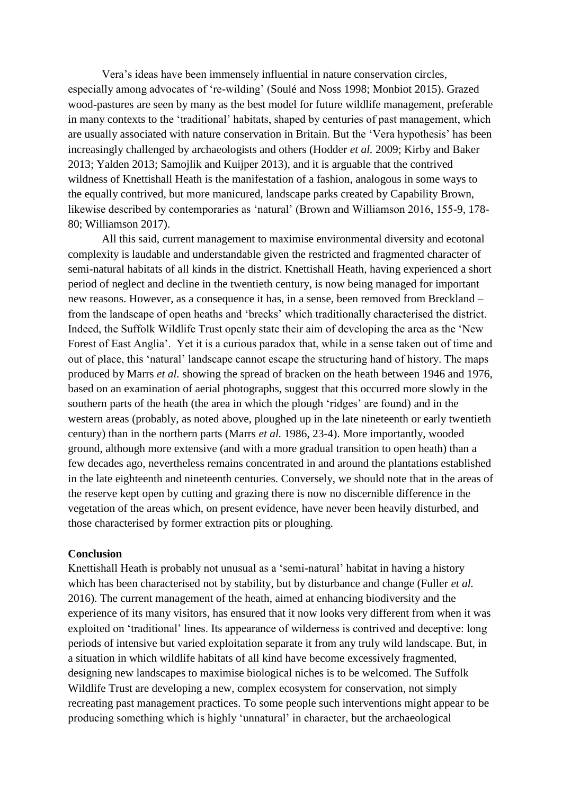Vera's ideas have been immensely influential in nature conservation circles, especially among advocates of 're-wilding' (Soulé and Noss 1998; Monbiot 2015). Grazed wood-pastures are seen by many as the best model for future wildlife management, preferable in many contexts to the 'traditional' habitats, shaped by centuries of past management, which are usually associated with nature conservation in Britain. But the 'Vera hypothesis' has been increasingly challenged by archaeologists and others (Hodder *et al.* 2009; Kirby and Baker 2013; Yalden 2013; Samojlik and Kuijper 2013), and it is arguable that the contrived wildness of Knettishall Heath is the manifestation of a fashion, analogous in some ways to the equally contrived, but more manicured, landscape parks created by Capability Brown, likewise described by contemporaries as 'natural' (Brown and Williamson 2016, 155-9, 178- 80; Williamson 2017).

All this said, current management to maximise environmental diversity and ecotonal complexity is laudable and understandable given the restricted and fragmented character of semi-natural habitats of all kinds in the district. Knettishall Heath, having experienced a short period of neglect and decline in the twentieth century, is now being managed for important new reasons. However, as a consequence it has, in a sense, been removed from Breckland – from the landscape of open heaths and 'brecks' which traditionally characterised the district. Indeed, the Suffolk Wildlife Trust openly state their aim of developing the area as the 'New Forest of East Anglia'. Yet it is a curious paradox that, while in a sense taken out of time and out of place, this 'natural' landscape cannot escape the structuring hand of history. The maps produced by Marrs *et al.* showing the spread of bracken on the heath between 1946 and 1976, based on an examination of aerial photographs, suggest that this occurred more slowly in the southern parts of the heath (the area in which the plough 'ridges' are found) and in the western areas (probably, as noted above, ploughed up in the late nineteenth or early twentieth century) than in the northern parts (Marrs *et al.* 1986, 23-4). More importantly, wooded ground, although more extensive (and with a more gradual transition to open heath) than a few decades ago, nevertheless remains concentrated in and around the plantations established in the late eighteenth and nineteenth centuries. Conversely, we should note that in the areas of the reserve kept open by cutting and grazing there is now no discernible difference in the vegetation of the areas which, on present evidence, have never been heavily disturbed, and those characterised by former extraction pits or ploughing.

### **Conclusion**

Knettishall Heath is probably not unusual as a 'semi-natural' habitat in having a history which has been characterised not by stability, but by disturbance and change (Fuller *et al.*) 2016). The current management of the heath, aimed at enhancing biodiversity and the experience of its many visitors, has ensured that it now looks very different from when it was exploited on 'traditional' lines. Its appearance of wilderness is contrived and deceptive: long periods of intensive but varied exploitation separate it from any truly wild landscape. But, in a situation in which wildlife habitats of all kind have become excessively fragmented, designing new landscapes to maximise biological niches is to be welcomed. The Suffolk Wildlife Trust are developing a new, complex ecosystem for conservation, not simply recreating past management practices. To some people such interventions might appear to be producing something which is highly 'unnatural' in character, but the archaeological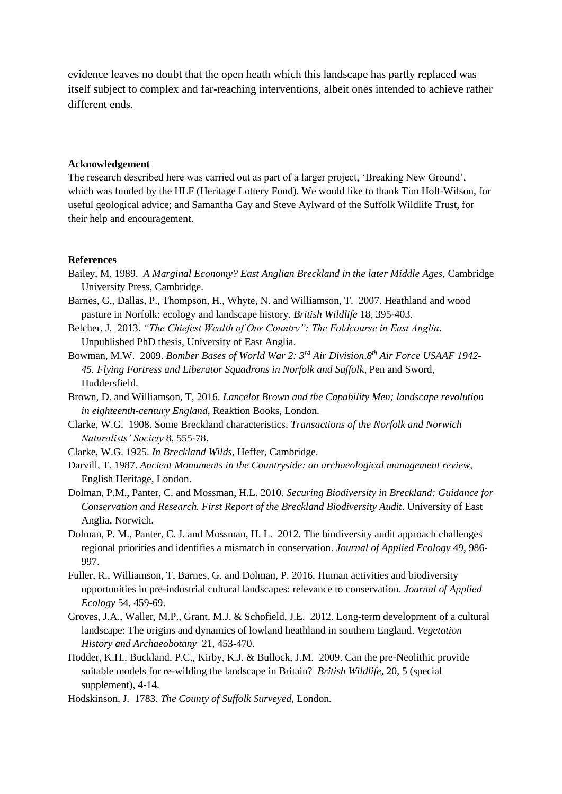evidence leaves no doubt that the open heath which this landscape has partly replaced was itself subject to complex and far-reaching interventions, albeit ones intended to achieve rather different ends.

#### **Acknowledgement**

The research described here was carried out as part of a larger project, 'Breaking New Ground', which was funded by the HLF (Heritage Lottery Fund). We would like to thank Tim Holt-Wilson, for useful geological advice; and Samantha Gay and Steve Aylward of the Suffolk Wildlife Trust, for their help and encouragement.

#### **References**

- Bailey, M. 1989. *A Marginal Economy? East Anglian Breckland in the later Middle Ages*, Cambridge University Press, Cambridge.
- Barnes, G., Dallas, P., Thompson, H., Whyte, N. and Williamson, T. 2007. Heathland and wood pasture in Norfolk: ecology and landscape history. *British Wildlife* 18, 395-403.
- Belcher, J. 2013. *"The Chiefest Wealth of Our Country": The Foldcourse in East Anglia*. Unpublished PhD thesis, University of East Anglia.
- Bowman, M.W. 2009. *Bomber Bases of World War 2: 3rd Air Division,8th Air Force USAAF 1942- 45. Flying Fortress and Liberator Squadrons in Norfolk and Suffolk*, Pen and Sword, Huddersfield.

Brown, D. and Williamson, T, 2016. *Lancelot Brown and the Capability Men; landscape revolution in eighteenth-century England*, Reaktion Books, London.

- Clarke, W.G. 1908. Some Breckland characteristics. *Transactions of the Norfolk and Norwich Naturalists' Society* 8, 555-78.
- Clarke, W.G. 1925. *In Breckland Wilds*, Heffer, Cambridge.

Darvill, T. 1987. *Ancient Monuments in the Countryside: an archaeological management review*, English Heritage, London.

- Dolman, P.M., Panter, C. and Mossman, H.L. 2010. *Securing Biodiversity in Breckland: Guidance for Conservation and Research. First Report of the Breckland Biodiversity Audit*. University of East Anglia, Norwich.
- Dolman, P. M., Panter, C. J. and Mossman, H. L. 2012. The biodiversity audit approach challenges regional priorities and identifies a mismatch in conservation. *Journal of Applied Ecology* 49, 986- 997.
- Fuller, R., Williamson, T, Barnes, G. and Dolman, P. 2016. Human activities and biodiversity opportunities in pre-industrial cultural landscapes: relevance to conservation. *Journal of Applied Ecology* 54, 459-69.
- Groves, J.A., Waller, M.P., Grant, M.J. & Schofield, J.E. 2012. Long-term development of a cultural landscape: The origins and dynamics of lowland heathland in southern England. *Vegetation History and Archaeobotany* 21, 453-470.
- Hodder, K.H., Buckland, P.C., Kirby, K.J. & Bullock, J.M. 2009. Can the pre-Neolithic provide suitable models for re-wilding the landscape in Britain? *British Wildlife,* 20, 5 (special supplement), 4-14.

Hodskinson, J. 1783. *The County of Suffolk Surveyed*, London.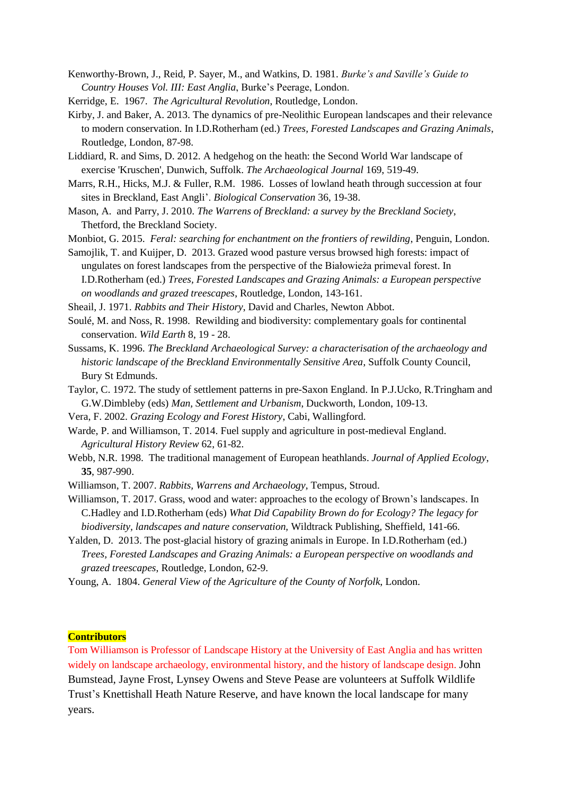Kenworthy-Brown, J., Reid, P. Sayer, M., and Watkins, D. 1981. *Burke's and Saville's Guide to Country Houses Vol. III: East Anglia*, Burke's Peerage, London.

- Kerridge, E. 1967. *The Agricultural Revolution*, Routledge, London.
- Kirby, J. and Baker, A. 2013. The dynamics of pre-Neolithic European landscapes and their relevance to modern conservation. In I.D.Rotherham (ed.) *Trees, Forested Landscapes and Grazing Animals*, Routledge, London, 87-98.
- Liddiard, R. and Sims, D. 2012. A hedgehog on the heath: the Second World War landscape of exercise 'Kruschen', Dunwich, Suffolk. *The Archaeological Journal* 169, 519-49.
- Marrs, R.H., Hicks, M.J. & Fuller, R.M. 1986. Losses of lowland heath through succession at four sites in Breckland, East Angli'. *Biological Conservation* 36, 19-38.
- Mason, A. and Parry, J. 2010. *The Warrens of Breckland: a survey by the Breckland Society*, Thetford, the Breckland Society.

Monbiot, G. 2015. *Feral: searching for enchantment on the frontiers of rewilding*, Penguin, London.

- Samojlik, T. and Kuijper, D. 2013. Grazed wood pasture versus browsed high forests: impact of ungulates on forest landscapes from the perspective of the Białowieża primeval forest. In I.D.Rotherham (ed.) *Trees, Forested Landscapes and Grazing Animals: a European perspective on woodlands and grazed treescapes*, Routledge, London, 143-161.
- Sheail, J. 1971. *Rabbits and Their History*, David and Charles, Newton Abbot.
- Soulé, M. and Noss, R. 1998. Rewilding and biodiversity: complementary goals for continental conservation. *Wild Earth* 8, 19 - 28.
- Sussams, K. 1996. *The Breckland Archaeological Survey: a characterisation of the archaeology and historic landscape of the Breckland Environmentally Sensitive Area*, Suffolk County Council, Bury St Edmunds.
- Taylor, C. 1972. The study of settlement patterns in pre-Saxon England. In P.J.Ucko, R.Tringham and G.W.Dimbleby (eds) *Man, Settlement and Urbanism*, Duckworth, London, 109-13.
- Vera, F. 2002. *Grazing Ecology and Forest History*, Cabi, Wallingford.
- Warde, P. and Williamson, T. 2014. Fuel supply and agriculture in post-medieval England. *Agricultural History Review* 62, 61-82.
- Webb, N.R. 1998. The traditional management of European heathlands. *Journal of Applied Ecology*, **35**, 987-990.

Williamson, T. 2007. *Rabbits, Warrens and Archaeology*, Tempus, Stroud.

Williamson, T. 2017. Grass, wood and water: approaches to the ecology of Brown's landscapes. In C.Hadley and I.D.Rotherham (eds) *What Did Capability Brown do for Ecology? The legacy for biodiversity, landscapes and nature conservation,* Wildtrack Publishing, Sheffield, 141-66.

Yalden, D. 2013. The post-glacial history of grazing animals in Europe. In I.D.Rotherham (ed.) *Trees, Forested Landscapes and Grazing Animals: a European perspective on woodlands and grazed treescapes*, Routledge, London, 62-9.

Young, A. 1804. *General View of the Agriculture of the County of Norfolk*, London.

### **Contributors**

Tom Williamson is Professor of Landscape History at the University of East Anglia and has written widely on landscape archaeology, environmental history, and the history of landscape design. John Bumstead, Jayne Frost, Lynsey Owens and Steve Pease are volunteers at Suffolk Wildlife Trust's Knettishall Heath Nature Reserve, and have known the local landscape for many years.